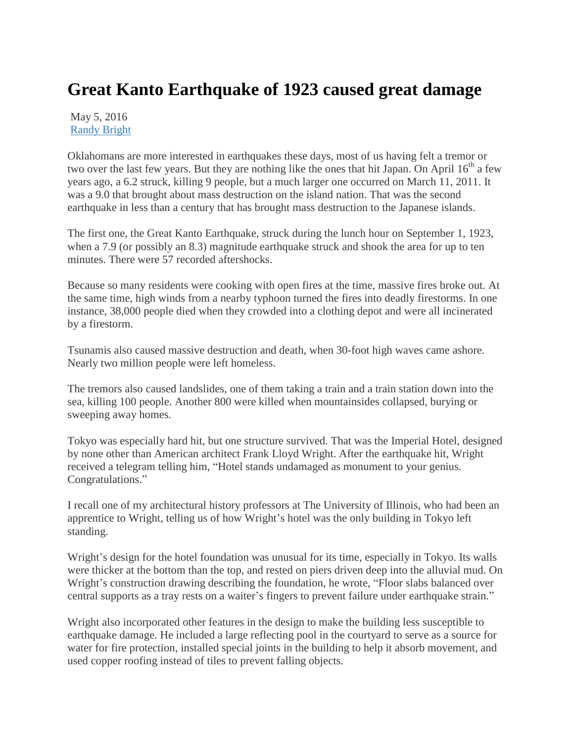## **Great Kanto Earthquake of 1923 caused great damage**

May 5, 2016 [Randy Bright](http://tulsabeacon.com/author/randy-bright/)

Oklahomans are more interested in earthquakes these days, most of us having felt a tremor or two over the last few years. But they are nothing like the ones that hit Japan. On April 16<sup>th</sup> a few years ago, a 6.2 struck, killing 9 people, but a much larger one occurred on March 11, 2011. It was a 9.0 that brought about mass destruction on the island nation. That was the second earthquake in less than a century that has brought mass destruction to the Japanese islands.

The first one, the Great Kanto Earthquake, struck during the lunch hour on September 1, 1923, when a 7.9 (or possibly an 8.3) magnitude earthquake struck and shook the area for up to ten minutes. There were 57 recorded aftershocks.

Because so many residents were cooking with open fires at the time, massive fires broke out. At the same time, high winds from a nearby typhoon turned the fires into deadly firestorms. In one instance, 38,000 people died when they crowded into a clothing depot and were all incinerated by a firestorm.

Tsunamis also caused massive destruction and death, when 30-foot high waves came ashore. Nearly two million people were left homeless.

The tremors also caused landslides, one of them taking a train and a train station down into the sea, killing 100 people. Another 800 were killed when mountainsides collapsed, burying or sweeping away homes.

Tokyo was especially hard hit, but one structure survived. That was the Imperial Hotel, designed by none other than American architect Frank Lloyd Wright. After the earthquake hit, Wright received a telegram telling him, "Hotel stands undamaged as monument to your genius. Congratulations."

I recall one of my architectural history professors at The University of Illinois, who had been an apprentice to Wright, telling us of how Wright's hotel was the only building in Tokyo left standing.

Wright's design for the hotel foundation was unusual for its time, especially in Tokyo. Its walls were thicker at the bottom than the top, and rested on piers driven deep into the alluvial mud. On Wright's construction drawing describing the foundation, he wrote, "Floor slabs balanced over central supports as a tray rests on a waiter's fingers to prevent failure under earthquake strain."

Wright also incorporated other features in the design to make the building less susceptible to earthquake damage. He included a large reflecting pool in the courtyard to serve as a source for water for fire protection, installed special joints in the building to help it absorb movement, and used copper roofing instead of tiles to prevent falling objects.